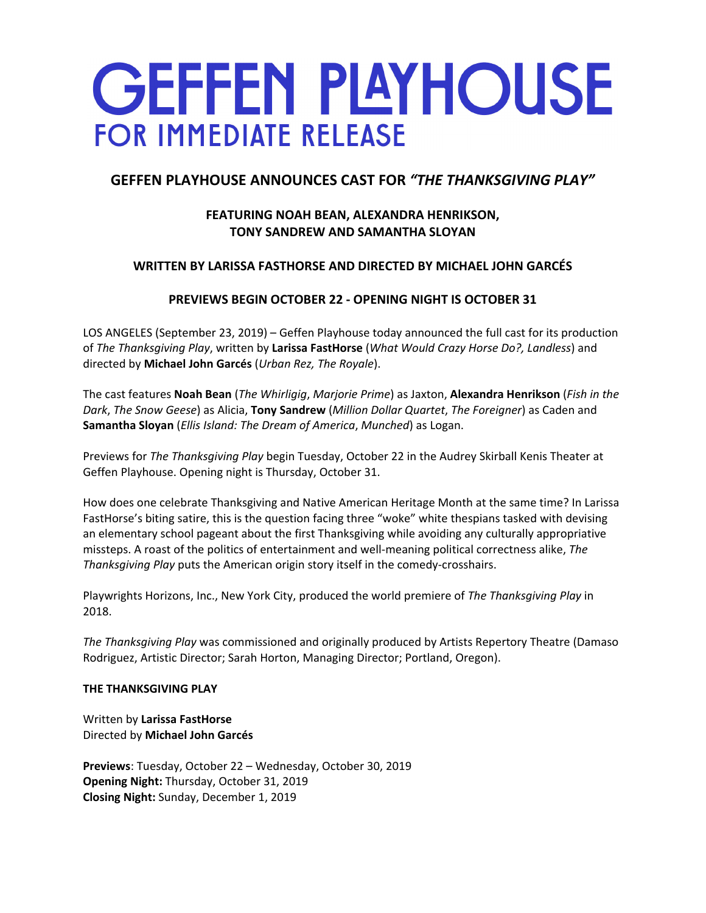# **GEFFEN PLAYHOUSE FOR IMMEDIATE RELEASE**

# **GEFFEN PLAYHOUSE ANNOUNCES CAST FOR** *"THE THANKSGIVING PLAY"*

# **FEATURING NOAH BEAN, ALEXANDRA HENRIKSON, TONY SANDREW AND SAMANTHA SLOYAN**

# **WRITTEN BY LARISSA FASTHORSE AND DIRECTED BY MICHAEL JOHN GARCÉS**

# **PREVIEWS BEGIN OCTOBER 22 ‐ OPENING NIGHT IS OCTOBER 31**

LOS ANGELES (September 23, 2019) – Geffen Playhouse today announced the full cast for its production of *The Thanksgiving Play*, written by **Larissa FastHorse** (*What Would Crazy Horse Do?, Landless*) and directed by **Michael John Garcés** (*Urban Rez, The Royale*).

The cast features **Noah Bean** (*The Whirligig*, *Marjorie Prime*) as Jaxton, **Alexandra Henrikson** (*Fish in the Dark*, *The Snow Geese*) as Alicia, **Tony Sandrew** (*Million Dollar Quartet*, *The Foreigner*) as Caden and **Samantha Sloyan** (*Ellis Island: The Dream of America*, *Munched*) as Logan.

Previews for *The Thanksgiving Play* begin Tuesday, October 22 in the Audrey Skirball Kenis Theater at Geffen Playhouse. Opening night is Thursday, October 31.

How does one celebrate Thanksgiving and Native American Heritage Month at the same time? In Larissa FastHorse's biting satire, this is the question facing three "woke" white thespians tasked with devising an elementary school pageant about the first Thanksgiving while avoiding any culturally appropriative missteps. A roast of the politics of entertainment and well‐meaning political correctness alike, *The Thanksgiving Play* puts the American origin story itself in the comedy‐crosshairs.

Playwrights Horizons, Inc., New York City, produced the world premiere of *The Thanksgiving Play* in 2018.

*The Thanksgiving Play* was commissioned and originally produced by Artists Repertory Theatre (Damaso Rodriguez, Artistic Director; Sarah Horton, Managing Director; Portland, Oregon).

## **THE THANKSGIVING PLAY**

Written by **Larissa FastHorse** Directed by **Michael John Garcés**

**Previews**: Tuesday, October 22 – Wednesday, October 30, 2019 **Opening Night:** Thursday, October 31, 2019 **Closing Night:** Sunday, December 1, 2019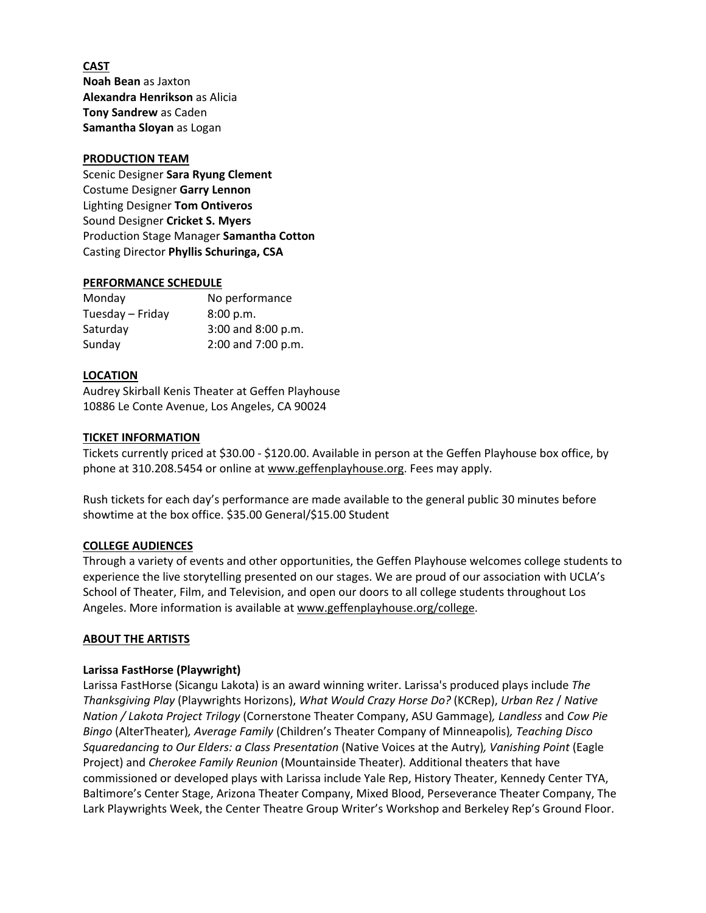**CAST Noah Bean** as Jaxton **Alexandra Henrikson** as Alicia **Tony Sandrew** as Caden **Samantha Sloyan** as Logan

#### **PRODUCTION TEAM**

Scenic Designer **Sara Ryung Clement** Costume Designer **Garry Lennon** Lighting Designer **Tom Ontiveros** Sound Designer **Cricket S. Myers** Production Stage Manager **Samantha Cotton** Casting Director **Phyllis Schuringa, CSA**

#### **PERFORMANCE SCHEDULE**

| Monday           | No performance     |
|------------------|--------------------|
| Tuesday - Friday | 8:00 p.m.          |
| Saturday         | 3:00 and 8:00 p.m. |
| Sunday           | 2:00 and 7:00 p.m. |

#### **LOCATION**

Audrey Skirball Kenis Theater at Geffen Playhouse 10886 Le Conte Avenue, Los Angeles, CA 90024

#### **TICKET INFORMATION**

Tickets currently priced at \$30.00 ‐ \$120.00. Available in person at the Geffen Playhouse box office, by phone at 310.208.5454 or online at www.geffenplayhouse.org. Fees may apply.

Rush tickets for each day's performance are made available to the general public 30 minutes before showtime at the box office. \$35.00 General/\$15.00 Student

#### **COLLEGE AUDIENCES**

Through a variety of events and other opportunities, the Geffen Playhouse welcomes college students to experience the live storytelling presented on our stages. We are proud of our association with UCLA's School of Theater, Film, and Television, and open our doors to all college students throughout Los Angeles. More information is available at www.geffenplayhouse.org/college.

#### **ABOUT THE ARTISTS**

#### **Larissa FastHorse (Playwright)**

Larissa FastHorse (Sicangu Lakota) is an award winning writer. Larissa's produced plays include *The Thanksgiving Play* (Playwrights Horizons), *What Would Crazy Horse Do?* (KCRep), *Urban Rez* / *Native Nation / Lakota Project Trilogy* (Cornerstone Theater Company, ASU Gammage)*, Landless* and *Cow Pie Bingo* (AlterTheater)*, Average Family* (Children's Theater Company of Minneapolis)*, Teaching Disco Squaredancing to Our Elders: a Class Presentation* (Native Voices at the Autry)*, Vanishing Point* (Eagle Project) and *Cherokee Family Reunion* (Mountainside Theater)*.* Additional theaters that have commissioned or developed plays with Larissa include Yale Rep, History Theater, Kennedy Center TYA, Baltimore's Center Stage, Arizona Theater Company, Mixed Blood, Perseverance Theater Company, The Lark Playwrights Week, the Center Theatre Group Writer's Workshop and Berkeley Rep's Ground Floor.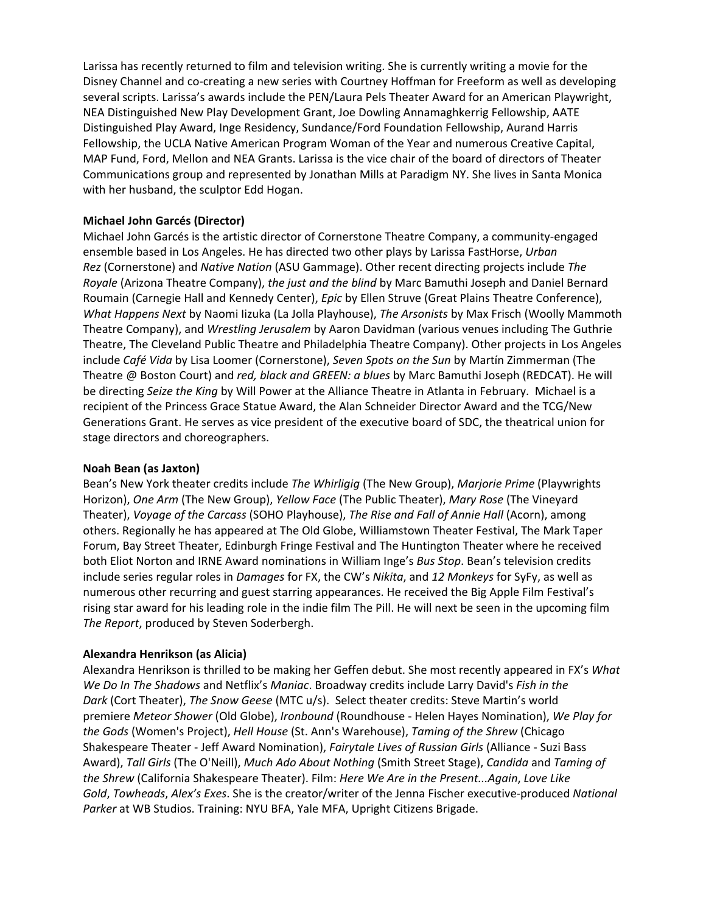Larissa has recently returned to film and television writing. She is currently writing a movie for the Disney Channel and co‐creating a new series with Courtney Hoffman for Freeform as well as developing several scripts. Larissa's awards include the PEN/Laura Pels Theater Award for an American Playwright, NEA Distinguished New Play Development Grant, Joe Dowling Annamaghkerrig Fellowship, AATE Distinguished Play Award, Inge Residency, Sundance/Ford Foundation Fellowship, Aurand Harris Fellowship, the UCLA Native American Program Woman of the Year and numerous Creative Capital, MAP Fund, Ford, Mellon and NEA Grants. Larissa is the vice chair of the board of directors of Theater Communications group and represented by Jonathan Mills at Paradigm NY. She lives in Santa Monica with her husband, the sculptor Edd Hogan.

## **Michael John Garcés (Director)**

Michael John Garcés is the artistic director of Cornerstone Theatre Company, a community‐engaged ensemble based in Los Angeles. He has directed two other plays by Larissa FastHorse, *Urban Rez* (Cornerstone) and *Native Nation* (ASU Gammage). Other recent directing projects include *The Royale* (Arizona Theatre Company), *the just and the blind* by Marc Bamuthi Joseph and Daniel Bernard Roumain (Carnegie Hall and Kennedy Center), *Epic* by Ellen Struve (Great Plains Theatre Conference), *What Happens Next* by Naomi Iizuka (La Jolla Playhouse), *The Arsonists* by Max Frisch (Woolly Mammoth Theatre Company), and *Wrestling Jerusalem* by Aaron Davidman (various venues including The Guthrie Theatre, The Cleveland Public Theatre and Philadelphia Theatre Company). Other projects in Los Angeles include *Café Vida* by Lisa Loomer (Cornerstone), *Seven Spots on the Sun* by Martín Zimmerman (The Theatre @ Boston Court) and *red, black and GREEN: a blues* by Marc Bamuthi Joseph (REDCAT). He will be directing *Seize the King* by Will Power at the Alliance Theatre in Atlanta in February. Michael is a recipient of the Princess Grace Statue Award, the Alan Schneider Director Award and the TCG/New Generations Grant. He serves as vice president of the executive board of SDC, the theatrical union for stage directors and choreographers.

## **Noah Bean (as Jaxton)**

Bean's New York theater credits include *The Whirligig* (The New Group), *Marjorie Prime* (Playwrights Horizon), *One Arm* (The New Group), *Yellow Face* (The Public Theater), *Mary Rose* (The Vineyard Theater), *Voyage of the Carcass* (SOHO Playhouse), *The Rise and Fall of Annie Hall* (Acorn), among others. Regionally he has appeared at The Old Globe, Williamstown Theater Festival, The Mark Taper Forum, Bay Street Theater, Edinburgh Fringe Festival and The Huntington Theater where he received both Eliot Norton and IRNE Award nominations in William Inge's *Bus Stop*. Bean's television credits include series regular roles in *Damages* for FX, the CW's *Nikita*, and *12 Monkeys* for SyFy, as well as numerous other recurring and guest starring appearances. He received the Big Apple Film Festival's rising star award for his leading role in the indie film The Pill. He will next be seen in the upcoming film *The Report*, produced by Steven Soderbergh.

# **Alexandra Henrikson (as Alicia)**

Alexandra Henrikson is thrilled to be making her Geffen debut. She most recently appeared in FX's *What We Do In The Shadows* and Netflix's *Maniac*. Broadway credits include Larry David's *Fish in the Dark* (Cort Theater), *The Snow Geese* (MTC u/s). Select theater credits: Steve Martin's world premiere *Meteor Shower* (Old Globe), *Ironbound* (Roundhouse ‐ Helen Hayes Nomination), *We Play for the Gods* (Women's Project), *Hell House* (St. Ann's Warehouse), *Taming of the Shrew* (Chicago Shakespeare Theater ‐ Jeff Award Nomination), *Fairytale Lives of Russian Girls* (Alliance ‐ Suzi Bass Award), *Tall Girls* (The O'Neill), *Much Ado About Nothing* (Smith Street Stage), *Candida* and *Taming of the Shrew* (California Shakespeare Theater). Film: *Here We Are in the Present...Again*, *Love Like Gold*, *Towheads*, *Alex's Exes*. She is the creator/writer of the Jenna Fischer executive‐produced *National Parker* at WB Studios. Training: NYU BFA, Yale MFA, Upright Citizens Brigade.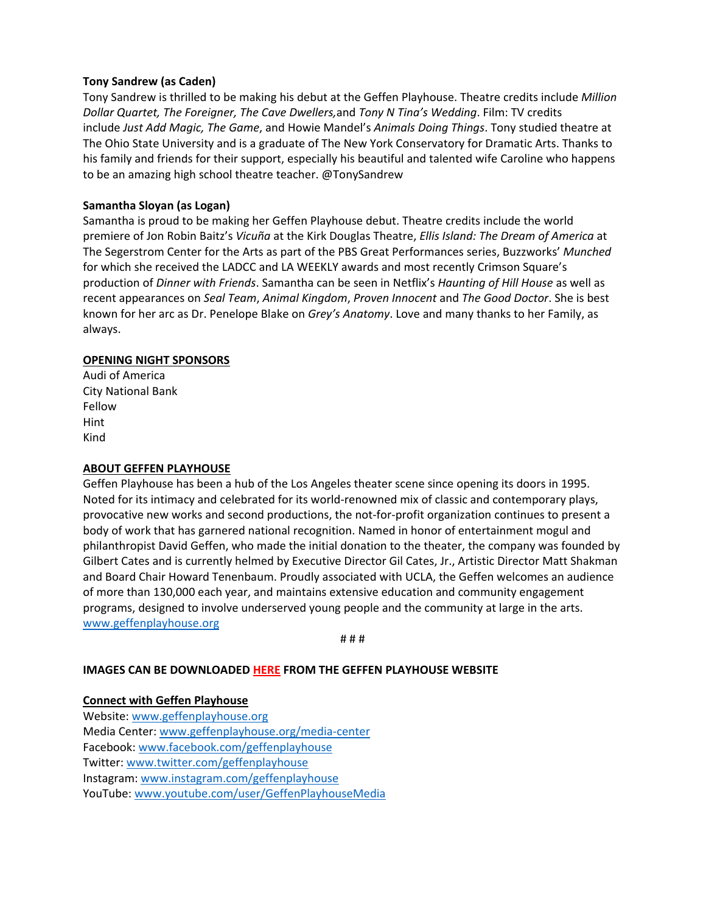# **Tony Sandrew (as Caden)**

Tony Sandrew is thrilled to be making his debut at the Geffen Playhouse. Theatre credits include *Million Dollar Quartet, The Foreigner, The Cave Dwellers,*and *Tony N Tina's Wedding*. Film: TV credits include *Just Add Magic, The Game*, and Howie Mandel's *Animals Doing Things*. Tony studied theatre at The Ohio State University and is a graduate of The New York Conservatory for Dramatic Arts. Thanks to his family and friends for their support, especially his beautiful and talented wife Caroline who happens to be an amazing high school theatre teacher. @TonySandrew

## **Samantha Sloyan (as Logan)**

Samantha is proud to be making her Geffen Playhouse debut. Theatre credits include the world premiere of Jon Robin Baitz's *Vicuña* at the Kirk Douglas Theatre, *Ellis Island: The Dream of America* at The Segerstrom Center for the Arts as part of the PBS Great Performances series, Buzzworks' *Munched* for which she received the LADCC and LA WEEKLY awards and most recently Crimson Square's production of *Dinner with Friends*. Samantha can be seen in Netflix's *Haunting of Hill House* as well as recent appearances on *Seal Team*, *Animal Kingdom*, *Proven Innocent* and *The Good Doctor*. She is best known for her arc as Dr. Penelope Blake on *Grey's Anatomy*. Love and many thanks to her Family, as always.

### **OPENING NIGHT SPONSORS**

Audi of America City National Bank Fellow Hint Kind

#### **ABOUT GEFFEN PLAYHOUSE**

Geffen Playhouse has been a hub of the Los Angeles theater scene since opening its doors in 1995. Noted for its intimacy and celebrated for its world‐renowned mix of classic and contemporary plays, provocative new works and second productions, the not‐for‐profit organization continues to present a body of work that has garnered national recognition. Named in honor of entertainment mogul and philanthropist David Geffen, who made the initial donation to the theater, the company was founded by Gilbert Cates and is currently helmed by Executive Director Gil Cates, Jr., Artistic Director Matt Shakman and Board Chair Howard Tenenbaum. Proudly associated with UCLA, the Geffen welcomes an audience of more than 130,000 each year, and maintains extensive education and community engagement programs, designed to involve underserved young people and the community at large in the arts. www.geffenplayhouse.org

# # #

## **IMAGES CAN BE DOWNLOADED HERE FROM THE GEFFEN PLAYHOUSE WEBSITE**

#### **Connect with Geffen Playhouse**

Website: www.geffenplayhouse.org Media Center: www.geffenplayhouse.org/media‐center Facebook: www.facebook.com/geffenplayhouse Twitter: www.twitter.com/geffenplayhouse Instagram: www.instagram.com/geffenplayhouse YouTube: www.youtube.com/user/GeffenPlayhouseMedia